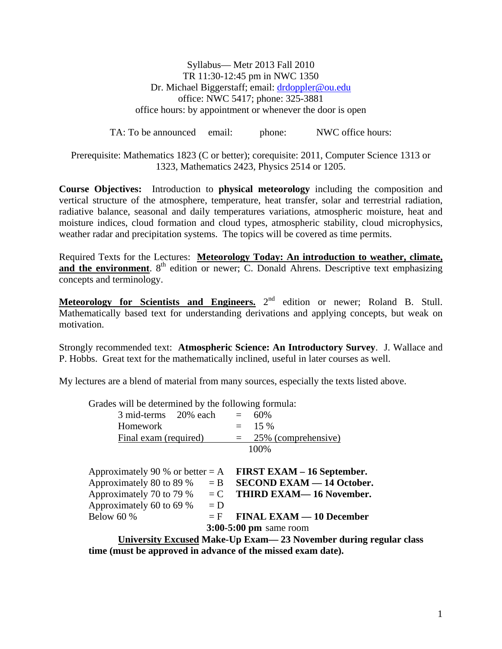Syllabus— Metr 2013 Fall 2010 TR 11:30-12:45 pm in NWC 1350 Dr. Michael Biggerstaff; email: drdoppler@ou.edu office: NWC 5417; phone: 325-3881 office hours: by appointment or whenever the door is open

TA: To be announced email: phone: NWC office hours:

Prerequisite: Mathematics 1823 (C or better); corequisite: 2011, Computer Science 1313 or 1323, Mathematics 2423, Physics 2514 or 1205.

**Course Objectives:** Introduction to **physical meteorology** including the composition and vertical structure of the atmosphere, temperature, heat transfer, solar and terrestrial radiation, radiative balance, seasonal and daily temperatures variations, atmospheric moisture, heat and moisture indices, cloud formation and cloud types, atmospheric stability, cloud microphysics, weather radar and precipitation systems. The topics will be covered as time permits.

Required Texts for the Lectures: **Meteorology Today: An introduction to weather, climate,**  and the environment. 8<sup>th</sup> edition or newer; C. Donald Ahrens. Descriptive text emphasizing concepts and terminology.

**Meteorology for Scientists and Engineers.** 2<sup>nd</sup> edition or newer; Roland B. Stull. Mathematically based text for understanding derivations and applying concepts, but weak on motivation.

Strongly recommended text: **Atmospheric Science: An Introductory Survey**. J. Wallace and P. Hobbs. Great text for the mathematically inclined, useful in later courses as well.

My lectures are a blend of material from many sources, especially the texts listed above.

| Grades will be determined by the following formula:                |       |                                  |
|--------------------------------------------------------------------|-------|----------------------------------|
| $3 \text{ mid-terms}$ 20% each = 60%                               |       |                                  |
| Homework                                                           |       | $=$ 15 %                         |
| Final exam (required)                                              |       | $= 25\%$ (comprehensive)         |
| 100%                                                               |       |                                  |
|                                                                    |       |                                  |
| Approximately 90 % or better $= A$ FIRST EXAM – 16 September.      |       |                                  |
| Approximately 80 to 89 % $=$ B                                     |       | <b>SECOND EXAM - 14 October.</b> |
| Approximately 70 to 79 % $=$ C                                     |       | <b>THIRD EXAM—16 November.</b>   |
| Approximately 60 to 69 % $= D$                                     |       |                                  |
| Below $60\%$                                                       | $=$ F | <b>FINAL EXAM — 10 December</b>  |
| $3:00-5:00$ pm same room                                           |       |                                  |
| University Excused Make-Up Exam - 23 November during regular class |       |                                  |

**time (must be approved in advance of the missed exam date).**